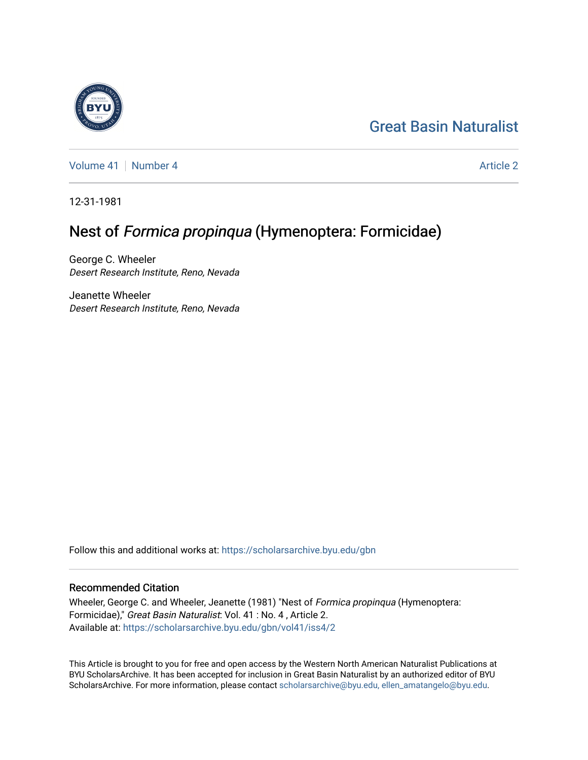# [Great Basin Naturalist](https://scholarsarchive.byu.edu/gbn)

[Volume 41](https://scholarsarchive.byu.edu/gbn/vol41) | [Number 4](https://scholarsarchive.byu.edu/gbn/vol41/iss4) [Article 2](https://scholarsarchive.byu.edu/gbn/vol41/iss4/2) Article 2

12-31-1981

## Nest of Formica propinqua (Hymenoptera: Formicidae)

George C. Wheeler Desert Research Institute, Reno, Nevada

Jeanette Wheeler Desert Research Institute, Reno, Nevada

Follow this and additional works at: [https://scholarsarchive.byu.edu/gbn](https://scholarsarchive.byu.edu/gbn?utm_source=scholarsarchive.byu.edu%2Fgbn%2Fvol41%2Fiss4%2F2&utm_medium=PDF&utm_campaign=PDFCoverPages) 

### Recommended Citation

Wheeler, George C. and Wheeler, Jeanette (1981) "Nest of Formica propinqua (Hymenoptera: Formicidae)," Great Basin Naturalist: Vol. 41 : No. 4 , Article 2. Available at: [https://scholarsarchive.byu.edu/gbn/vol41/iss4/2](https://scholarsarchive.byu.edu/gbn/vol41/iss4/2?utm_source=scholarsarchive.byu.edu%2Fgbn%2Fvol41%2Fiss4%2F2&utm_medium=PDF&utm_campaign=PDFCoverPages)

This Article is brought to you for free and open access by the Western North American Naturalist Publications at BYU ScholarsArchive. It has been accepted for inclusion in Great Basin Naturalist by an authorized editor of BYU ScholarsArchive. For more information, please contact [scholarsarchive@byu.edu, ellen\\_amatangelo@byu.edu.](mailto:scholarsarchive@byu.edu,%20ellen_amatangelo@byu.edu)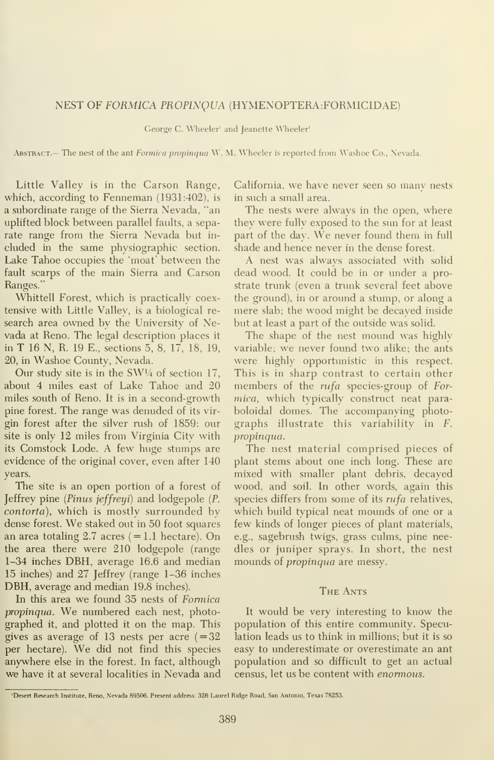### NEST OF FORMICA PROPINQUA (HYMENOPTERA:FORMICIDAE)

George C. Wheeler' and Jeanette Wheeler'

ABSTRACT.— The nest of the ant Formica propinqua W. M. Wheeler is reported from Washoe Co., Nevada.

Little Valley is in the Carson Range, which, according to Fenneman (1931:402), is a subordinate range of the Sierra Nevada, "an uplifted block between parallel faults, a separate range from the Sierra Nevada but in cluded in the same physiographic section. Lake Tahoe occupies the 'moat' between the fault scarps of the main Sierra and Carson Ranges."

Whittell Forest, which is practically coextensive with Little Valley, is a biological re search area owned by the University of Nevada at Reno. The legal description places it in T 16 N, R. 19 E., sections 5, 8, 17, 18, 19, 20, in Washoe County, Nevada.

Our study site is in the SWV4 of section 17, about 4 miles east of Lake Tahoe and 20 miles south of Reno. It is in a second-growth pine forest. The range was denuded of its vir gin forest after the silver rush of 1859: our site is only 12 miles from Virginia City with its Comstock Lode. A few huge stumps are evidence of the original cover, even after 140 years.

The site is an open portion of a forest of Jeffrey pine {Pinus jeffreyi) and lodgepole {P. contorta), which is mostly surrounded by dense forest. We staked out in <sup>50</sup> foot squares an area totaling 2.7 acres  $(=1.1 \text{ hectare})$ . On the area there were 210 lodgepole (range 1-34 inches DBH, average 16.6 and median 15 inches) and 27 Jeffrey (range 1-36 inches DBH, average and median 19.8 inches).

In this area we found 35 nests of Formica propinqua. We numbered each nest, photographed it, and plotted it on the map. This gives as average of 13 nests per acre  $(=32)$ per hectare). We did not find this species anywhere else in the forest. In fact, although we have it at several localities in Nevada and California, we have never seen so many nests in such a small area.

The nests were always in the open, where they were fully exposed to the sun for at least part of the day. We never found them in full shade and hence never in the dense forest.

A nest was always associated with solid dead wood. It could be in or under a prostrate trunk (even a trunk several feet above the ground), in or around a stump, or along a mere slab; the wood might be decayed inside but at least a part of the outside was solid.

The shape of the nest mound was highly variable; we never found two alike; the ants were highly opportunistic in this respect. This is in sharp contrast to certain other members of the *rufa* species-group of Formica, which typically construct neat paraboloidal domes. The accompanying photographs illustrate this variability in F. propinqua.

The nest material comprised pieces of plant stems about one inch long. These are mixed with smaller plant debris, decayed wood, and soil. In other words, again this species differs from some of its rufa relatives, which build typical neat mounds of one or a few kinds of longer pieces of plant materials, e.g., sagebrush twigs, grass culms, pine needles or juniper sprays. In short, the nest mounds of propinqua are messy.

#### The Ants

It would be very interesting to know the population of this entire community. Speculation leads us to think in millions; but it is so easy to underestimate or overestimate an ant population and so difficult to get an actual census, let us be content with enormous.

<sup>&#</sup>x27;Desert Research Institute, Reno, Nevada 89506. Present address: 326 Laurel Ridge Road, San Antonio, Texas 78253.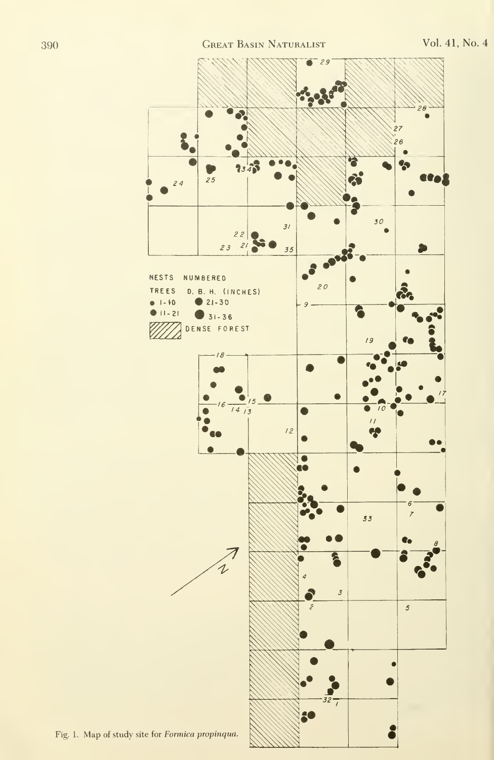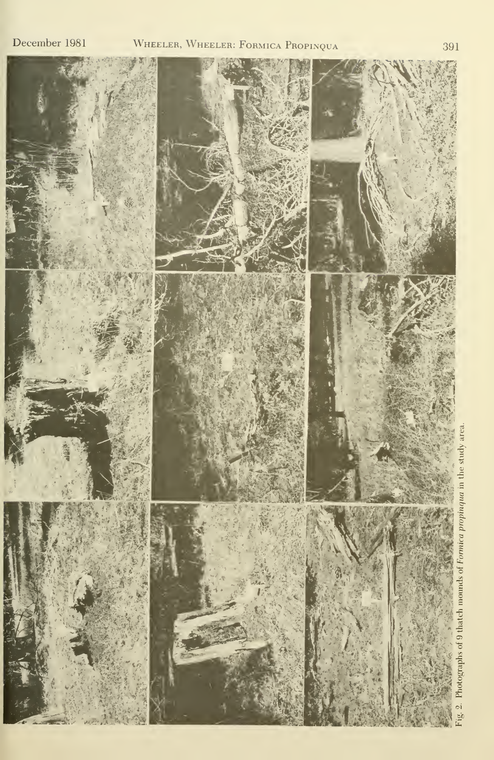

Photographs of 9 thatch mounds of Formica propinqua in the study area.

391